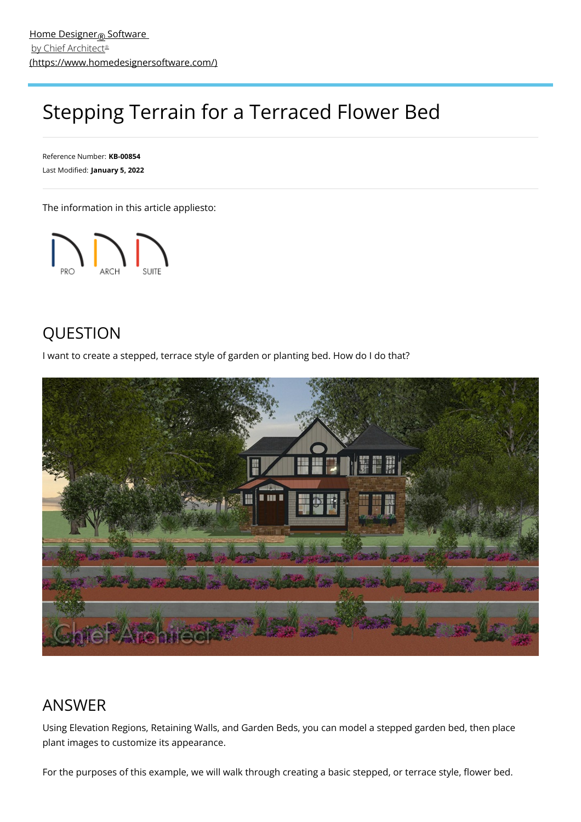# Stepping Terrain for a Terraced Flower Bed

Reference Number: **KB-00854** Last Modified: **January 5, 2022**

The information in this article appliesto:



# QUESTION

I want to create a stepped, terrace style of garden or planting bed. How do I do that?



# ANSWER

Using Elevation Regions, Retaining Walls, and Garden Beds, you can model a stepped garden bed, then place plant images to customize its appearance.

For the purposes of this example, we will walk through creating a basic stepped, or terrace style, flower bed.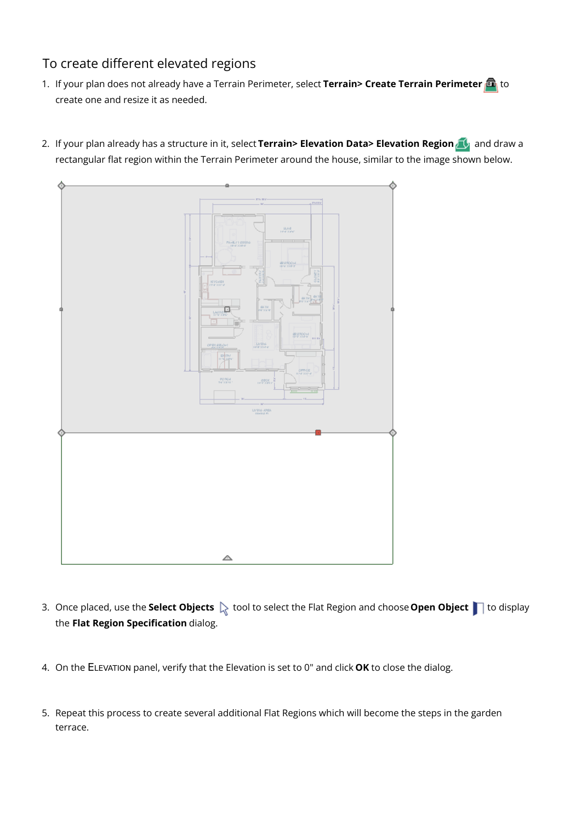## To create different elevated regions

- 1. If your plan does not already have a Terrain Perimeter, select **Terrain> Create Terrain Perimeter** to create one and resize it as needed.
	- alka<br>Heise PD 96) **MING ARE** △
- 2. If your plan already has a structure in it, select **Terrain> Elevation Data> Elevation Region** and draw a rectangular flat region within the Terrain Perimeter around the house, similar to the image shown below.

- 3. Once placed, use the **Select Objects**  $\&$  tool to select the Flat Region and choose **Open Object**  $\Box$  to display the **Flat Region Specification** dialog.
- 4. On the ELEVATION panel, verify that the Elevation is set to 0" and click **OK** to close the dialog.
- 5. Repeat this process to create several additional Flat Regions which will become the steps in the garden terrace.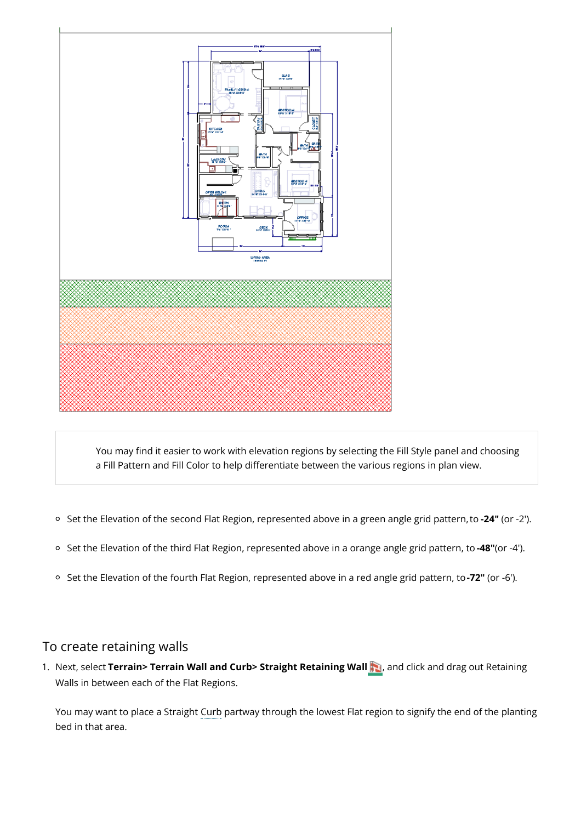

You may find it easier to work with elevation regions by selecting the Fill Style panel and choosing a Fill Pattern and Fill Color to help differentiate between the various regions in plan view.

- Set the Elevation of the second Flat Region, represented above in a green angle grid pattern,to **-24"** (or -2').
- Set the Elevation of the third Flat Region, represented above in a orange angle grid pattern, to **-48"**(or -4').
- Set the Elevation of the fourth Flat Region, represented above in a red angle grid pattern, to**-72"** (or -6').

### To create retaining walls

1. Next, select **Terrain> Terrain Wall and Curb> Straight Retaining Wall** , and click and drag out Retaining Walls in between each of the Flat Regions.

You may want to place a Straight Curb partway through the lowest Flat region to signify the end of the planting bed in that area.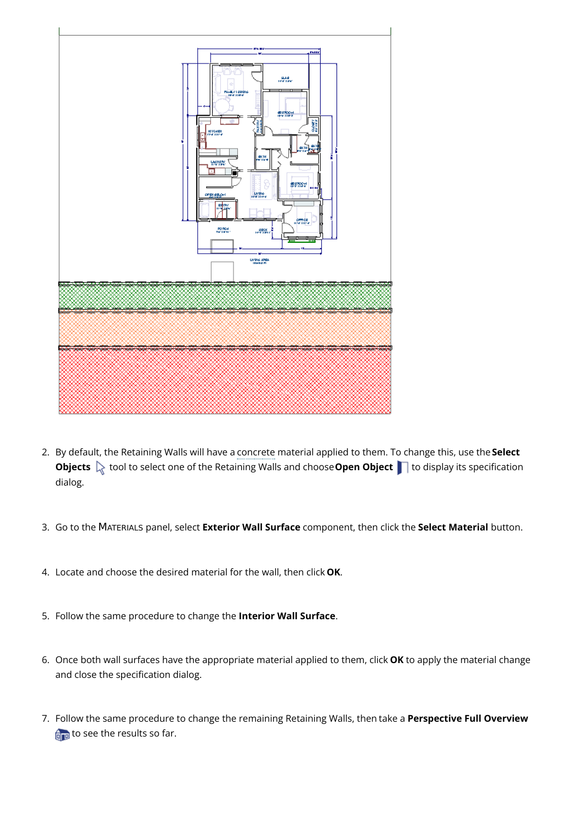

- 2. By default, the Retaining Walls will have a concrete material applied to them. To change this, use the**Select Objects**  $\&$  tool to select one of the Retaining Walls and choose **Open Object** to display its specification dialog.
- 3. Go to the MATERIALS panel, select **Exterior Wall Surface** component, then click the **Select Material** button.
- 4. Locate and choose the desired material for the wall, then click **OK**.
- 5. Follow the same procedure to change the **Interior Wall Surface**.
- 6. Once both wall surfaces have the appropriate material applied to them, click **OK** to apply the material change and close the specification dialog.
- 7. Follow the same procedure to change the remaining Retaining Walls, then take a **Perspective Full Overview** to see the results so far.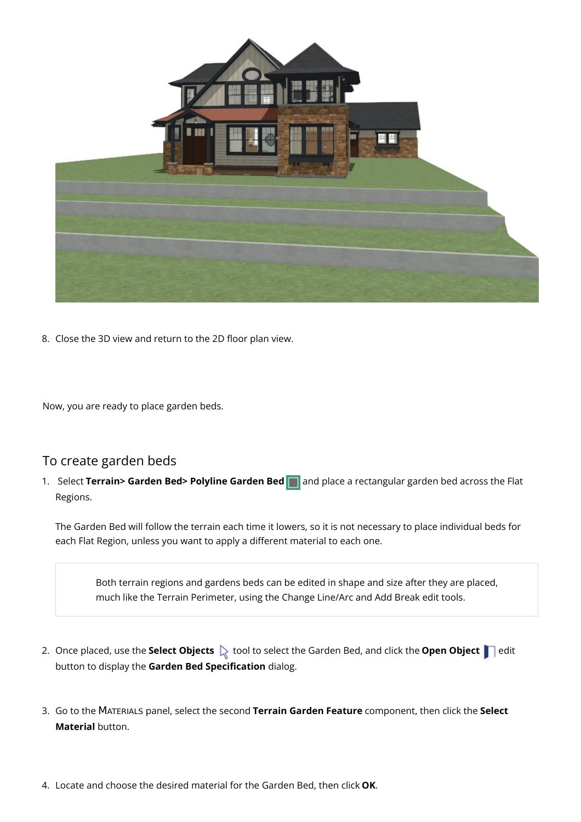

8. Close the 3D view and return to the 2D floor plan view.

Now, you are ready to place garden beds.

### To create garden beds

1. Select **Terrain> Garden Bed> Polyline Garden Bed** and place a rectangular garden bed across the Flat Regions.

The Garden Bed will follow the terrain each time it lowers, so it is not necessary to place individual beds for each Flat Region, unless you want to apply a different material to each one.

Both terrain regions and gardens beds can be edited in shape and size after they are placed, much like the Terrain Perimeter, using the Change Line/Arc and Add Break edit tools.

- 2. Once placed, use the **Select Objects**  $\bigotimes$  tool to select the Garden Bed, and click the **Open Object**  $\bigcap$  edit button to display the **Garden Bed Specification** dialog.
- 3. Go to the MATERIALS panel, select the second **Terrain Garden Feature** component, then click the **Select Material** button.
- 4. Locate and choose the desired material for the Garden Bed, then click **OK**.